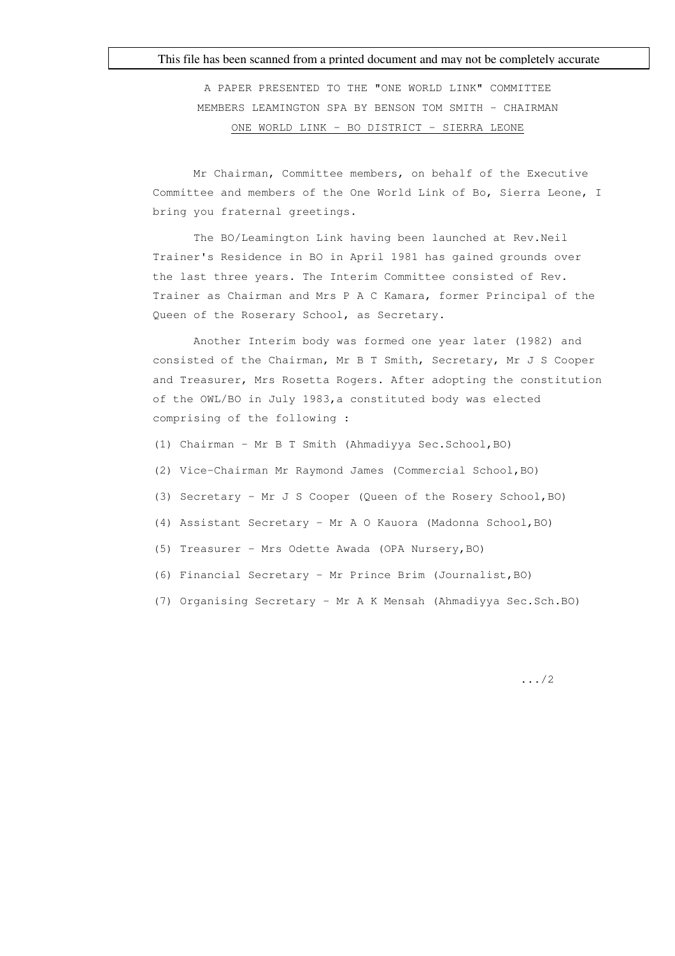## This file has been scanned from a printed document and may not be completely accurate

A PAPER PRESENTED TO THE "ONE WORLD LINK" COMMITTEE MEMBERS LEAMINGTON SPA BY BENSON TOM SMITH - CHAIRMAN ONE WORLD LINK - BO DISTRICT - SIERRA LEONE

Mr Chairman, Committee members, on behalf of the Executive Committee and members of the One World Link of Bo, Sierra Leone, I bring you fraternal greetings.

The BO/Leamington Link having been launched at Rev.Neil Trainer's Residence in BO in April 1981 has gained grounds over the last three years. The Interim Committee consisted of Rev. Trainer as Chairman and Mrs P A C Kamara, former Principal of the Queen of the Roserary School, as Secretary.

Another Interim body was formed one year later (1982) and consisted of the Chairman, Mr B T Smith, Secretary, Mr J S Cooper and Treasurer, Mrs Rosetta Rogers. After adopting the constitution of the OWL/BO in July 1983,a constituted body was elected comprising of the following :

- (1) Chairman Mr B T Smith (Ahmadiyya Sec.School,BO)
- (2) Vice-Chairman Mr Raymond James (Commercial School,BO)
- (3) Secretary Mr J S Cooper (Queen of the Rosery School,BO)
- (4) Assistant Secretary Mr A O Kauora (Madonna School,BO)
- (5) Treasurer Mrs Odette Awada (OPA Nursery,BO)
- (6) Financial Secretary Mr Prince Brim (Journalist,BO)
- (7) Organising Secretary Mr A K Mensah (Ahmadiyya Sec.Sch.BO)

.../2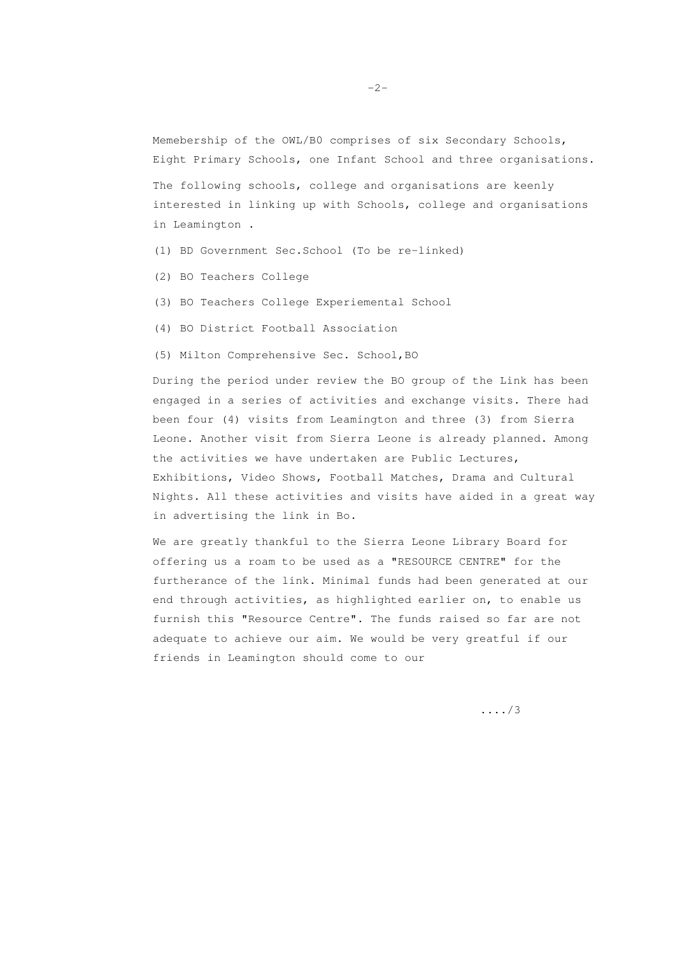Memebership of the OWL/B0 comprises of six Secondary Schools, Eight Primary Schools, one Infant School and three organisations.

The following schools, college and organisations are keenly interested in linking up with Schools, college and organisations in Leamington .

- (1) BD Government Sec.School (To be re-linked)
- (2) BO Teachers College
- (3) BO Teachers College Experiemental School
- (4) BO District Football Association
- (5) Milton Comprehensive Sec. School,BO

During the period under review the BO group of the Link has been engaged in a series of activities and exchange visits. There had been four (4) visits from Leamington and three (3) from Sierra Leone. Another visit from Sierra Leone is already planned. Among the activities we have undertaken are Public Lectures, Exhibitions, Video Shows, Football Matches, Drama and Cultural Nights. All these activities and visits have aided in a great way in advertising the link in Bo.

We are greatly thankful to the Sierra Leone Library Board for offering us a roam to be used as a "RESOURCE CENTRE" for the furtherance of the link. Minimal funds had been generated at our end through activities, as highlighted earlier on, to enable us furnish this "Resource Centre". The funds raised so far are not adequate to achieve our aim. We would be very greatful if our friends in Leamington should come to our

..../3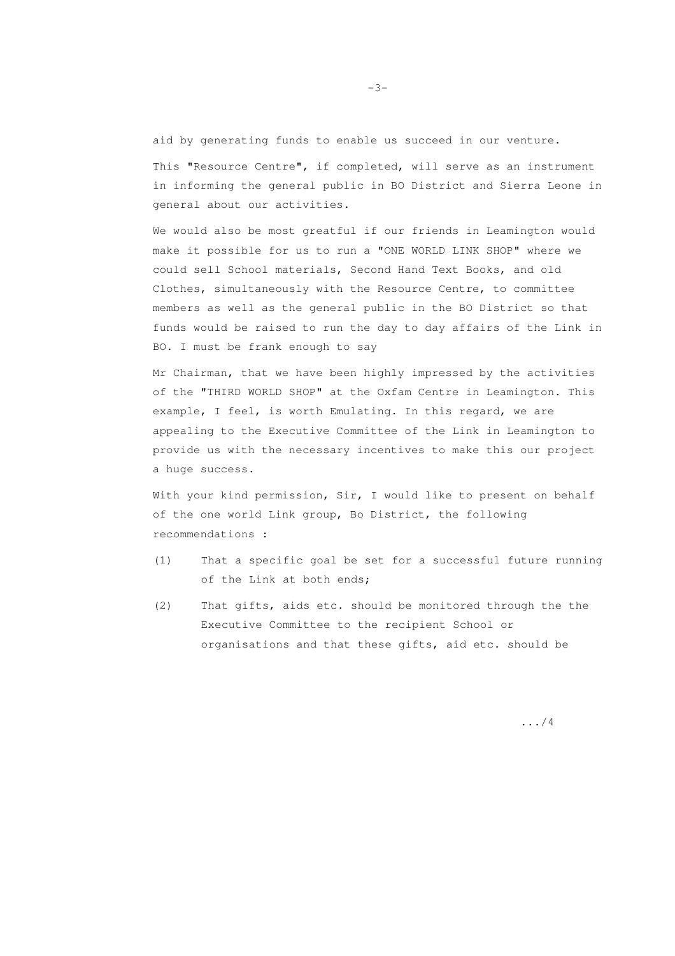aid by generating funds to enable us succeed in our venture. This "Resource Centre", if completed, will serve as an instrument in informing the general public in BO District and Sierra Leone in general about our activities.

We would also be most greatful if our friends in Leamington would make it possible for us to run a "ONE WORLD LINK SHOP" where we could sell School materials, Second Hand Text Books, and old Clothes, simultaneously with the Resource Centre, to committee members as well as the general public in the BO District so that funds would be raised to run the day to day affairs of the Link in BO. I must be frank enough to say

Mr Chairman, that we have been highly impressed by the activities of the "THIRD WORLD SHOP" at the Oxfam Centre in Leamington. This example, I feel, is worth Emulating. In this regard, we are appealing to the Executive Committee of the Link in Leamington to provide us with the necessary incentives to make this our project a huge success.

With your kind permission, Sir, I would like to present on behalf of the one world Link group, Bo District, the following recommendations :

- (1) That a specific goal be set for a successful future running of the Link at both ends;
- (2) That gifts, aids etc. should be monitored through the the Executive Committee to the recipient School or organisations and that these gifts, aid etc. should be

.../4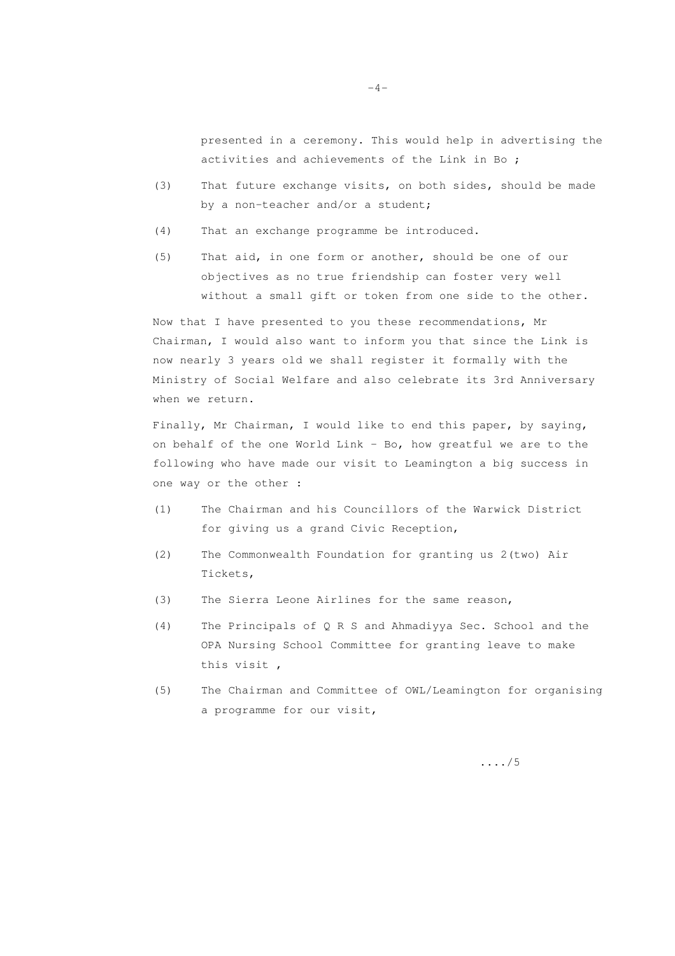presented in a ceremony. This would help in advertising the activities and achievements of the Link in Bo ;

- (3) That future exchange visits, on both sides, should be made by a non-teacher and/or a student;
- (4) That an exchange programme be introduced.
- (5) That aid, in one form or another, should be one of our objectives as no true friendship can foster very well without a small gift or token from one side to the other.

Now that I have presented to you these recommendations, Mr Chairman, I would also want to inform you that since the Link is now nearly 3 years old we shall register it formally with the Ministry of Social Welfare and also celebrate its 3rd Anniversary when we return.

Finally, Mr Chairman, I would like to end this paper, by saying, on behalf of the one World Link - Bo, how greatful we are to the following who have made our visit to Leamington a big success in one way or the other :

- (1) The Chairman and his Councillors of the Warwick District for giving us a grand Civic Reception,
- (2) The Commonwealth Foundation for granting us 2(two) Air Tickets,
- (3) The Sierra Leone Airlines for the same reason,
- (4) The Principals of Q R S and Ahmadiyya Sec. School and the OPA Nursing School Committee for granting leave to make this visit ,
- (5) The Chairman and Committee of OWL/Leamington for organising a programme for our visit,

..../5